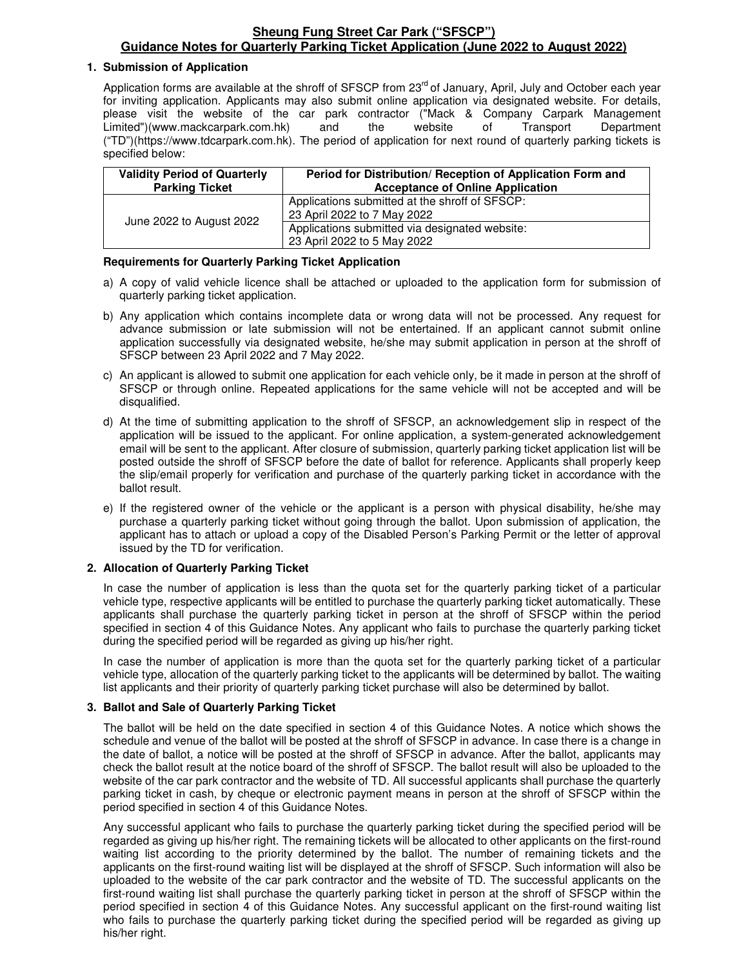## **Sheung Fung Street Car Park ("SFSCP") Guidance Notes for Quarterly Parking Ticket Application (June 2022 to August 2022)**

### **1. Submission of Application**

Application forms are available at the shroff of SFSCP from 23<sup>rd</sup> of January, April, July and October each year for inviting application. Applicants may also submit online application via designated website. For details, please visit the website of the car park contractor ("Mack & Company Carpark Management Limited")(www.mackcarpark.com.hk) and the website of Transport Department ("TD")(https://www.tdcarpark.com.hk). The period of application for next round of quarterly parking tickets is specified below:

| <b>Validity Period of Quarterly</b><br><b>Parking Ticket</b> | Period for Distribution/ Reception of Application Form and<br><b>Acceptance of Online Application</b> |  |
|--------------------------------------------------------------|-------------------------------------------------------------------------------------------------------|--|
| June 2022 to August 2022                                     | Applications submitted at the shroff of SFSCP:<br>23 April 2022 to 7 May 2022                         |  |
|                                                              | Applications submitted via designated website:<br>23 April 2022 to 5 May 2022                         |  |

### **Requirements for Quarterly Parking Ticket Application**

- a) A copy of valid vehicle licence shall be attached or uploaded to the application form for submission of quarterly parking ticket application.
- b) Any application which contains incomplete data or wrong data will not be processed. Any request for advance submission or late submission will not be entertained. If an applicant cannot submit online application successfully via designated website, he/she may submit application in person at the shroff of SFSCP between 23 April 2022 and 7 May 2022.
- c) An applicant is allowed to submit one application for each vehicle only, be it made in person at the shroff of SFSCP or through online. Repeated applications for the same vehicle will not be accepted and will be disqualified.
- d) At the time of submitting application to the shroff of SFSCP, an acknowledgement slip in respect of the application will be issued to the applicant. For online application, a system-generated acknowledgement email will be sent to the applicant. After closure of submission, quarterly parking ticket application list will be posted outside the shroff of SFSCP before the date of ballot for reference. Applicants shall properly keep the slip/email properly for verification and purchase of the quarterly parking ticket in accordance with the ballot result.
- e) If the registered owner of the vehicle or the applicant is a person with physical disability, he/she may purchase a quarterly parking ticket without going through the ballot. Upon submission of application, the applicant has to attach or upload a copy of the Disabled Person's Parking Permit or the letter of approval issued by the TD for verification.

## **2. Allocation of Quarterly Parking Ticket**

In case the number of application is less than the quota set for the quarterly parking ticket of a particular vehicle type, respective applicants will be entitled to purchase the quarterly parking ticket automatically. These applicants shall purchase the quarterly parking ticket in person at the shroff of SFSCP within the period specified in section 4 of this Guidance Notes. Any applicant who fails to purchase the quarterly parking ticket during the specified period will be regarded as giving up his/her right.

In case the number of application is more than the quota set for the quarterly parking ticket of a particular vehicle type, allocation of the quarterly parking ticket to the applicants will be determined by ballot. The waiting list applicants and their priority of quarterly parking ticket purchase will also be determined by ballot.

## **3. Ballot and Sale of Quarterly Parking Ticket**

The ballot will be held on the date specified in section 4 of this Guidance Notes. A notice which shows the schedule and venue of the ballot will be posted at the shroff of SFSCP in advance. In case there is a change in the date of ballot, a notice will be posted at the shroff of SFSCP in advance. After the ballot, applicants may check the ballot result at the notice board of the shroff of SFSCP. The ballot result will also be uploaded to the website of the car park contractor and the website of TD. All successful applicants shall purchase the quarterly parking ticket in cash, by cheque or electronic payment means in person at the shroff of SFSCP within the period specified in section 4 of this Guidance Notes.

Any successful applicant who fails to purchase the quarterly parking ticket during the specified period will be regarded as giving up his/her right. The remaining tickets will be allocated to other applicants on the first-round waiting list according to the priority determined by the ballot. The number of remaining tickets and the applicants on the first-round waiting list will be displayed at the shroff of SFSCP. Such information will also be uploaded to the website of the car park contractor and the website of TD. The successful applicants on the first-round waiting list shall purchase the quarterly parking ticket in person at the shroff of SFSCP within the period specified in section 4 of this Guidance Notes. Any successful applicant on the first-round waiting list who fails to purchase the quarterly parking ticket during the specified period will be regarded as giving up his/her right.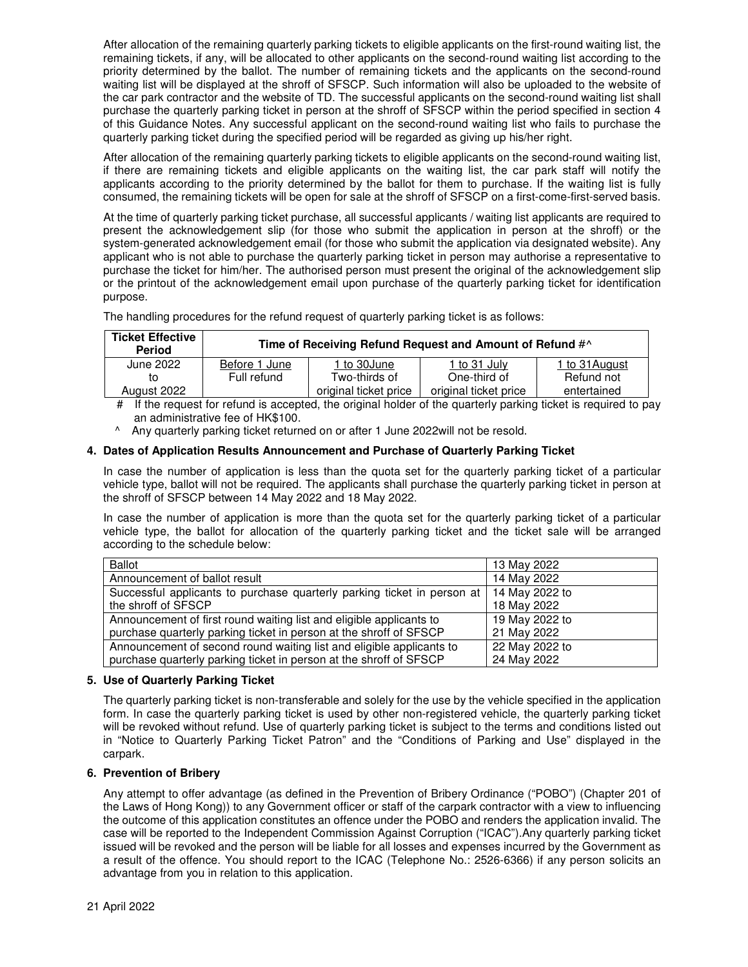After allocation of the remaining quarterly parking tickets to eligible applicants on the first-round waiting list, the remaining tickets, if any, will be allocated to other applicants on the second-round waiting list according to the priority determined by the ballot. The number of remaining tickets and the applicants on the second-round waiting list will be displayed at the shroff of SFSCP. Such information will also be uploaded to the website of the car park contractor and the website of TD. The successful applicants on the second-round waiting list shall purchase the quarterly parking ticket in person at the shroff of SFSCP within the period specified in section 4 of this Guidance Notes. Any successful applicant on the second-round waiting list who fails to purchase the quarterly parking ticket during the specified period will be regarded as giving up his/her right.

After allocation of the remaining quarterly parking tickets to eligible applicants on the second-round waiting list, if there are remaining tickets and eligible applicants on the waiting list, the car park staff will notify the applicants according to the priority determined by the ballot for them to purchase. If the waiting list is fully consumed, the remaining tickets will be open for sale at the shroff of SFSCP on a first-come-first-served basis.

At the time of quarterly parking ticket purchase, all successful applicants / waiting list applicants are required to present the acknowledgement slip (for those who submit the application in person at the shroff) or the system-generated acknowledgement email (for those who submit the application via designated website). Any applicant who is not able to purchase the quarterly parking ticket in person may authorise a representative to purchase the ticket for him/her. The authorised person must present the original of the acknowledgement slip or the printout of the acknowledgement email upon purchase of the quarterly parking ticket for identification purpose.

The handling procedures for the refund request of quarterly parking ticket is as follows:

| <b>Ticket Effective</b><br><b>Period</b>                                                                          | Time of Receiving Refund Request and Amount of Refund #^ |                       |                       |                |
|-------------------------------------------------------------------------------------------------------------------|----------------------------------------------------------|-----------------------|-----------------------|----------------|
| June 2022                                                                                                         | Before 1 June                                            | 1 to 30June           | 1 to 31 July          | 1 to 31 August |
| to                                                                                                                | Full refund                                              | Two-thirds of         | One-third of          | Refund not     |
| August 2022                                                                                                       |                                                          | original ticket price | original ticket price | entertained    |
| $\pm$ if the request for refund is constant the eriginal holder of the quarterly parking tighet is required to be |                                                          |                       |                       |                |

# If the request for refund is accepted, the original holder of the quarterly parking ticket is required to pay an administrative fee of HK\$100.

^ Any quarterly parking ticket returned on or after 1 June 2022will not be resold.

## **4. Dates of Application Results Announcement and Purchase of Quarterly Parking Ticket**

In case the number of application is less than the quota set for the quarterly parking ticket of a particular vehicle type, ballot will not be required. The applicants shall purchase the quarterly parking ticket in person at the shroff of SFSCP between 14 May 2022 and 18 May 2022.

In case the number of application is more than the quota set for the quarterly parking ticket of a particular vehicle type, the ballot for allocation of the quarterly parking ticket and the ticket sale will be arranged according to the schedule below:

| <b>Ballot</b>                                                           | 13 May 2022    |
|-------------------------------------------------------------------------|----------------|
| Announcement of ballot result                                           | 14 May 2022    |
| Successful applicants to purchase quarterly parking ticket in person at | 14 May 2022 to |
| the shroff of SFSCP                                                     | 18 May 2022    |
| Announcement of first round waiting list and eligible applicants to     | 19 May 2022 to |
| purchase quarterly parking ticket in person at the shroff of SFSCP      | 21 May 2022    |
| Announcement of second round waiting list and eligible applicants to    | 22 May 2022 to |
| purchase quarterly parking ticket in person at the shroff of SFSCP      | 24 May 2022    |

### **5. Use of Quarterly Parking Ticket**

The quarterly parking ticket is non-transferable and solely for the use by the vehicle specified in the application form. In case the quarterly parking ticket is used by other non-registered vehicle, the quarterly parking ticket will be revoked without refund. Use of quarterly parking ticket is subject to the terms and conditions listed out in "Notice to Quarterly Parking Ticket Patron" and the "Conditions of Parking and Use" displayed in the carpark.

### **6. Prevention of Bribery**

Any attempt to offer advantage (as defined in the Prevention of Bribery Ordinance ("POBO") (Chapter 201 of the Laws of Hong Kong)) to any Government officer or staff of the carpark contractor with a view to influencing the outcome of this application constitutes an offence under the POBO and renders the application invalid. The case will be reported to the Independent Commission Against Corruption ("ICAC").Any quarterly parking ticket issued will be revoked and the person will be liable for all losses and expenses incurred by the Government as a result of the offence. You should report to the ICAC (Telephone No.: 2526-6366) if any person solicits an advantage from you in relation to this application.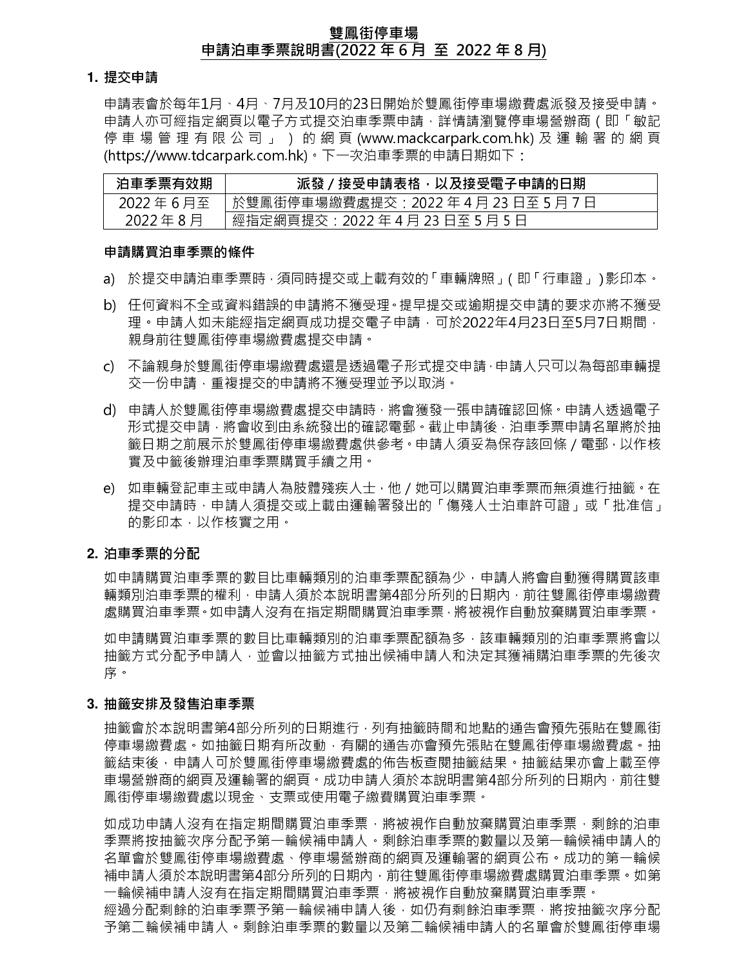# 雙鳳街停車場 申請泊車季票說明書(2022 年 6 月 至 2022 年 8 月)

## **1.** 提交申請

申請表會於每年1月、4月、7月及10月的23日開始於雙鳳街停車場繳費處派發及接受申請。 申請人亦可經指定網頁以電子方式提交泊車季票申請,詳情請瀏覽停車場營辦商(即「敏記 停 車 場 管 理 有 限 公 司 」 ) 的 網 頁 (www.mackcarpark.com.hk) 及 運 輸 署 的 網 頁 (https://www.tdcarpark.com.hk)。下一次泊車季票的申請日期如下:

| 泊車季票有效期    | 派發/接受申請表格,以及接受電子申請的日期                 |
|------------|---------------------------------------|
| 2022年6月至   | 於雙鳳街停車場繳費處提交:2022 年 4 月 23 日至 5 月 7 日 |
| 2022 年 8 月 | 經指定網頁提交:2022年4月23日至5月5日               |

#### 申請購買泊車季票的條件

- a) 於提交申請泊車季票時,須同時提交或上載有效的「車輛牌照」(即「行車證」)影印本。
- b) 任何資料不全或資料錯誤的申請將不獲受理。提早提交或逾期提交申請的要求亦將不獲受 理。申請人如未能經指定網頁成功提交電子申請,可於2022年4月23日至5月7日期間, 親身前往雙鳳街停車場繳費處提交申請。
- c) 不論親身於雙鳳街停車場繳費處還是透過電子形式提交申請,申請人只可以為每部車輛提 交⼀份申請,重複提交的申請將不獲受理並予以取消。
- d) 申請人於雙鳳街停車場繳費處提交申請時,將會獲發一張申請確認回條。申請人透過電子 形式提交申請,將會收到由系統發出的確認電郵。截止申請後,泊車季票申請名單將於抽 籤日期之前展示於雙鳳街停車場繳費處供參考。申請人須妥為保存該回條 / 電郵, 以作核 實及中籤後辦理泊車季票購買手續之用。
- e) 如車輛登記車主或申請人為肢體殘疾人士,他/她可以購買泊車季票而無須進行抽籤。在 提交申請時,申請人須提交或上載由運輸署發出的「傷殘人士泊車許可證」或「批准信」 的影印本,以作核實之用。

# **2.** 泊車季票的分配

如申請購買泊車季票的數目比車輛類別的泊車季票配額為少,申請人將會自動獲得購買該車 輛類別泊車季票的權利,申請人須於本說明書第4部分所列的日期內,前往雙鳳街停車場繳費 處購買泊車季票。如申請人沒有在指定期間購買泊車季票,將被視作自動放棄購買泊車季票。

如申請購買泊車季票的數目比車輛類別的泊車季票配額為多,該車輛類別的泊車季票將會以 抽籤方式分配予申請人,並會以抽籤方式抽出候補申請人和決定其獲補購泊車季票的先後次 序。

# **3.** 抽籤安排及發售泊車季票

抽籤會於本說明書第4部分所列的日期進行,列有抽籤時間和地點的通告會預先張貼在雙鳳街 停車場繳費處。如抽籤日期有所改動,有關的通告亦會預先張貼在雙鳳街停車場繳費處。抽 籤結束後,申請人可於雙鳳街停車場繳費處的佈告板查閱抽籤結果。抽籤結果亦會上載至停 車場營辦商的網頁及運輸署的網頁。成功申請人須於本說明書第4部分所列的日期內,前往雙 鳳街停車場繳費處以現金、支票或使用電子繳費購買泊車季票。

如成功申請人沒有在指定期間購買泊車季票,將被視作自動放棄購買泊車季票,剩餘的泊車 季票將按抽籤次序分配予第一輪候補申請人。剩餘泊車季票的數量以及第一輪候補申請人的 名單會於雙鳳街停車場繳費,停車場營辦商的網頁及運輸署的網頁公布。成功的第一輪候 補申請人須於本說明書第4部分所列的日期內,前往雙鳳街停車場繳費處購買泊車季票。如第 一輪候補申請人沒有在指定期間購買泊車季票,將被視作自動放棄購買泊車季票。 經過分配剩餘的泊車季票予第一輪候補申請人後,如仍有剩餘泊車季票,將按抽籤次序分配 予第二輪候補申請人。剩餘泊車季票的數量以及第二輪候補申請人的名單會於雙鳳街停車場